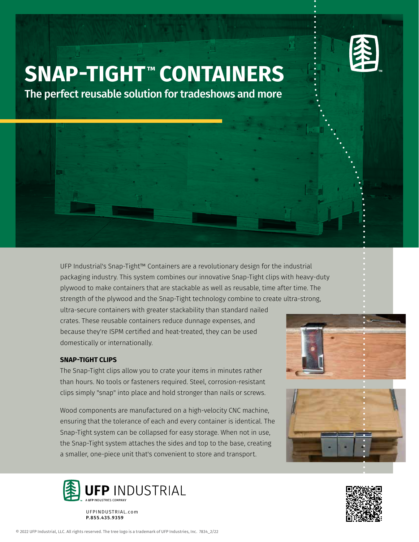

## **SNAP-TIGHT ™ CONTAINERS**

The perfect reusable solution for tradeshows and more

UFP Industrial's Snap-Tight™ Containers are a revolutionary design for the industrial packaging industry. This system combines our innovative Snap-Tight clips with heavy-duty plywood to make containers that are stackable as well as reusable, time after time. The strength of the plywood and the Snap-Tight technology combine to create ultra-strong,

ultra-secure containers with greater stackability than standard nailed crates. These reusable containers reduce dunnage expenses, and because they're ISPM certified and heat-treated, they can be used domestically or internationally.

## **SNAP-TIGHT CLIPS**

The Snap-Tight clips allow you to crate your items in minutes rather than hours. No tools or fasteners required. Steel, corrosion-resistant clips simply "snap" into place and hold stronger than nails or screws.

Wood components are manufactured on a high-velocity CNC machine, ensuring that the tolerance of each and every container is identical. The Snap-Tight system can be collapsed for easy storage. When not in use, the Snap-Tight system attaches the sides and top to the base, creating a smaller, one-piece unit that's convenient to store and transport.



UFPINDUSTRIAL.com P.855.435.9359